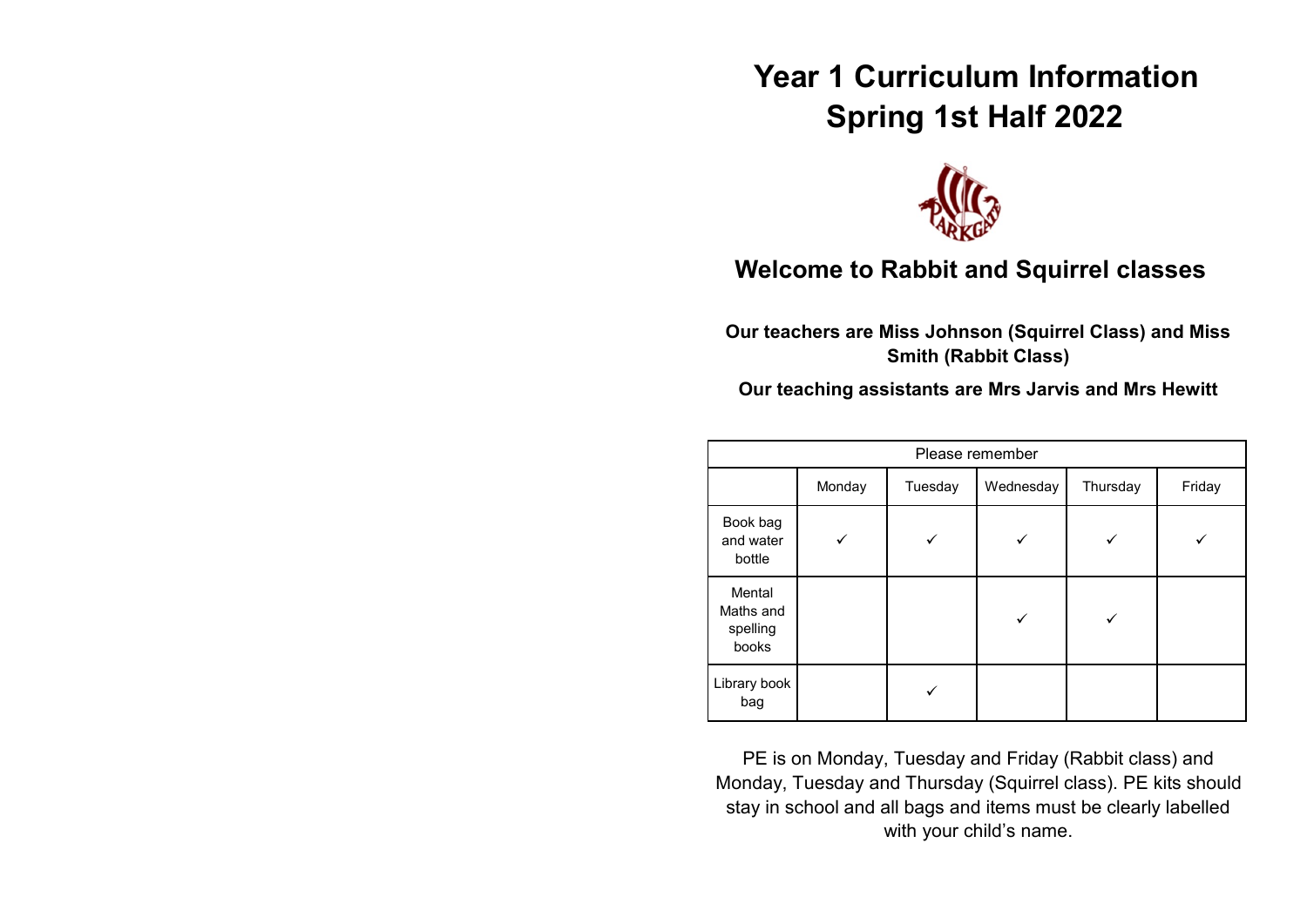# **Year 1 Curriculum Information Spring 1st Half 2022**



# **Welcome to Rabbit and Squirrel classes**

**Our teachers are Miss Johnson (Squirrel Class) and Miss Smith (Rabbit Class)**

**Our teaching assistants are Mrs Jarvis and Mrs Hewitt**

| Please remember                          |        |         |           |          |        |
|------------------------------------------|--------|---------|-----------|----------|--------|
|                                          | Monday | Tuesday | Wednesday | Thursday | Friday |
| Book bag<br>and water<br>bottle          |        |         |           |          |        |
| Mental<br>Maths and<br>spelling<br>books |        |         |           |          |        |
| Library book<br>bag                      |        |         |           |          |        |

PE is on Monday, Tuesday and Friday (Rabbit class) and Monday, Tuesday and Thursday (Squirrel class). PE kits should stay in school and all bags and items must be clearly labelled with your child's name.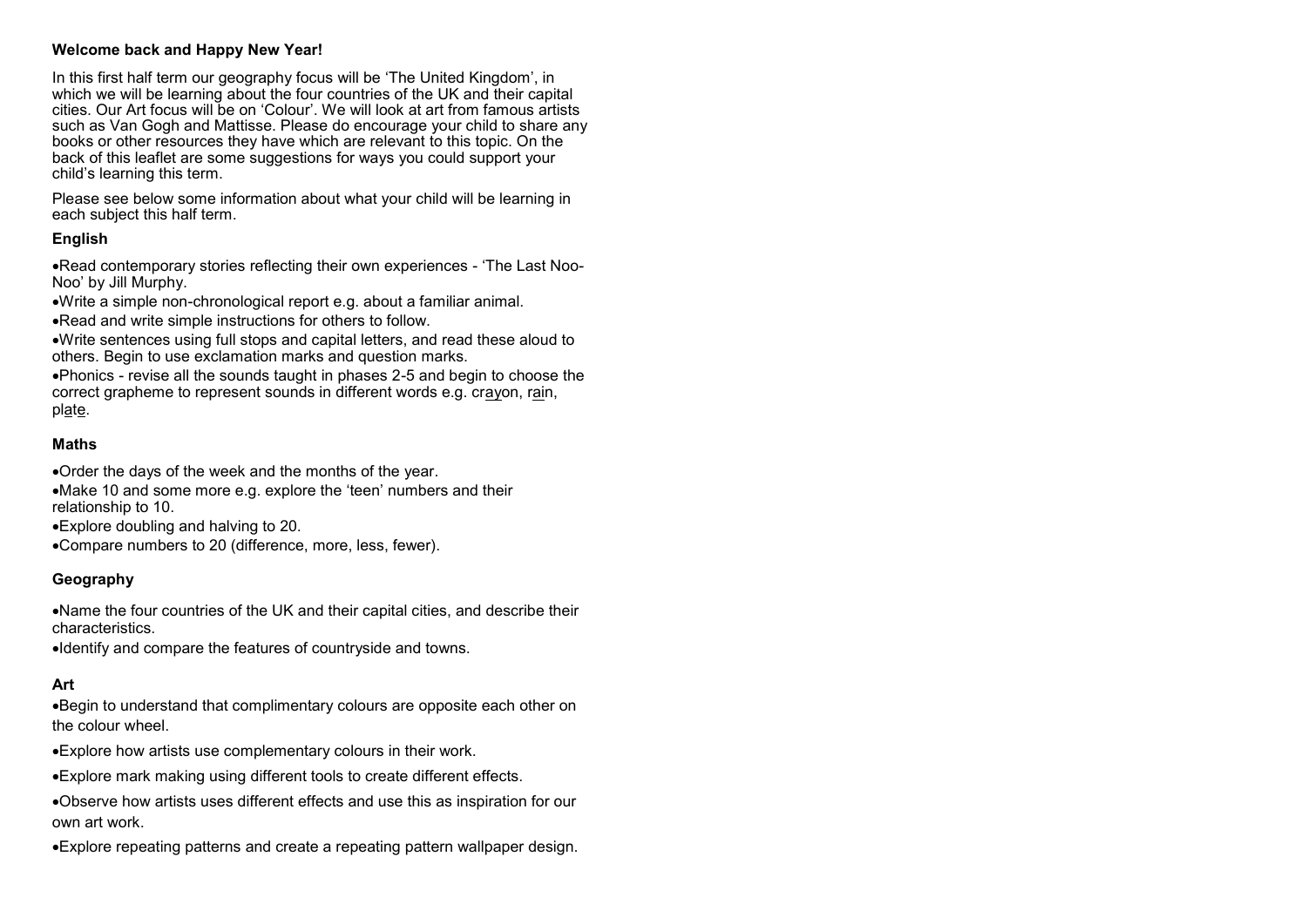#### **Welcome back and Happy New Year!**

In this first half term our geography focus will be 'The United Kingdom'. in which we will be learning about the four countries of the UK and their capital cities. Our Art focus will be on 'Colour'. We will look at art from famous artists such as Van Gogh and Mattisse. Please do encourage your child to share any books or other resources they have which are relevant to this topic. On the back of this leaflet are some suggestions for ways you could support your child's learning this term.

Please see below some information about what your child will be learning in each subject this half term.

### **English**

•Read contemporary stories reflecting their own experiences - 'The Last Noo-Noo' by Jill Murphy.

•Write a simple non-chronological report e.g. about a familiar animal.

•Read and write simple instructions for others to follow.

•Write sentences using full stops and capital letters, and read these aloud to others. Begin to use exclamation marks and question marks.

•Phonics - revise all the sounds taught in phases 2-5 and begin to choose the correct grapheme to represent sounds in different words e.g. crayon, rain, plate.

#### **Maths**

•Order the days of the week and the months of the year. •Make 10 and some more e.g. explore the 'teen' numbers and their relationship to 10.

•Explore doubling and halving to 20.

•Compare numbers to 20 (difference, more, less, fewer).

# **Geography**

•Name the four countries of the UK and their capital cities, and describe their characteristics.

•Identify and compare the features of countryside and towns.

# **Art**

•Begin to understand that complimentary colours are opposite each other on the colour wheel.

•Explore how artists use complementary colours in their work.

•Explore mark making using different tools to create different effects.

•Observe how artists uses different effects and use this as inspiration for our own art work.

•Explore repeating patterns and create a repeating pattern wallpaper design.